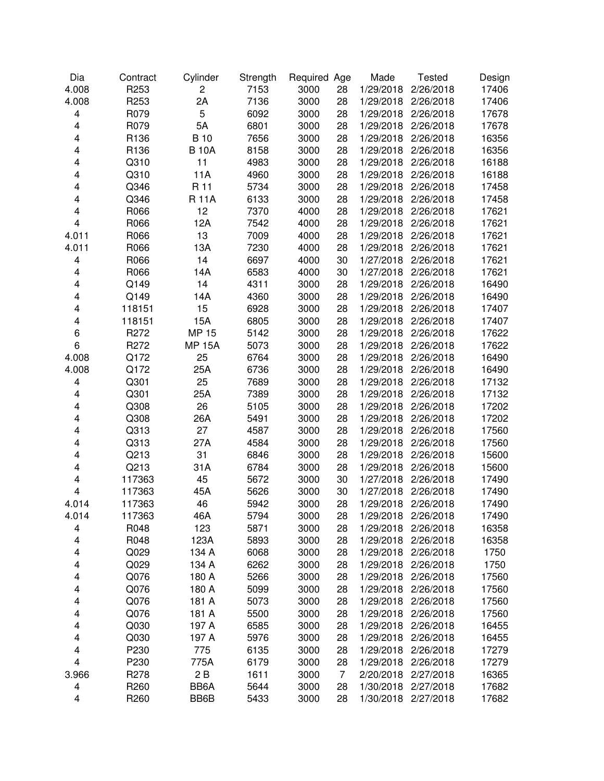| Dia                     | Contract         | Cylinder       | Strength | Required Age |                | Made                | <b>Tested</b>       | Design |
|-------------------------|------------------|----------------|----------|--------------|----------------|---------------------|---------------------|--------|
| 4.008                   | R253             | $\overline{c}$ | 7153     | 3000         | 28             | 1/29/2018           | 2/26/2018           | 17406  |
| 4.008                   | R253             | 2A             | 7136     | 3000         | 28             | 1/29/2018           | 2/26/2018           | 17406  |
| 4                       | R079             | 5              | 6092     | 3000         | 28             | 1/29/2018           | 2/26/2018           | 17678  |
| 4                       | R079             | 5A             | 6801     | 3000         | 28             | 1/29/2018           | 2/26/2018           | 17678  |
| 4                       | R136             | <b>B</b> 10    | 7656     | 3000         | 28             | 1/29/2018           | 2/26/2018           | 16356  |
| 4                       | R136             | <b>B</b> 10A   | 8158     | 3000         | 28             | 1/29/2018           | 2/26/2018           | 16356  |
| 4                       | Q310             | 11             | 4983     | 3000         | 28             | 1/29/2018           | 2/26/2018           | 16188  |
| 4                       | Q310             | 11A            | 4960     | 3000         | 28             | 1/29/2018           | 2/26/2018           | 16188  |
| 4                       | Q346             | R 11           | 5734     | 3000         | 28             | 1/29/2018           | 2/26/2018           | 17458  |
| 4                       | Q346             | <b>R11A</b>    | 6133     | 3000         | 28             | 1/29/2018           | 2/26/2018           | 17458  |
| 4                       | R066             | 12             | 7370     | 4000         | 28             | 1/29/2018           | 2/26/2018           | 17621  |
| 4                       | R066             | 12A            | 7542     | 4000         | 28             | 1/29/2018           | 2/26/2018           | 17621  |
| 4.011                   | R066             | 13             | 7009     | 4000         | 28             | 1/29/2018           | 2/26/2018           | 17621  |
| 4.011                   | R066             | 13A            | 7230     | 4000         | 28             | 1/29/2018           | 2/26/2018           | 17621  |
| 4                       | R066             | 14             | 6697     | 4000         | 30             | 1/27/2018           | 2/26/2018           | 17621  |
| 4                       | R066             | 14A            | 6583     | 4000         | 30             | 1/27/2018           | 2/26/2018           | 17621  |
| 4                       | Q149             | 14             | 4311     | 3000         | 28             | 1/29/2018           | 2/26/2018           | 16490  |
| 4                       | Q149             | 14A            | 4360     | 3000         | 28             | 1/29/2018           | 2/26/2018           | 16490  |
| 4                       | 118151           | 15             | 6928     | 3000         | 28             | 1/29/2018           | 2/26/2018           | 17407  |
| 4                       | 118151           | 15A            | 6805     | 3000         | 28             | 1/29/2018           | 2/26/2018           | 17407  |
| 6                       | R272             | <b>MP 15</b>   | 5142     | 3000         | 28             | 1/29/2018           | 2/26/2018           | 17622  |
| 6                       | R272             | <b>MP 15A</b>  | 5073     | 3000         | 28             | 1/29/2018           | 2/26/2018           | 17622  |
| 4.008                   | Q172             | 25             | 6764     | 3000         | 28             | 1/29/2018           | 2/26/2018           | 16490  |
| 4.008                   | Q172             | 25A            | 6736     | 3000         | 28             | 1/29/2018           | 2/26/2018           | 16490  |
| 4                       | Q301             | 25             | 7689     | 3000         | 28             | 1/29/2018           | 2/26/2018           | 17132  |
| 4                       | Q301             | 25A            | 7389     | 3000         | 28             | 1/29/2018           | 2/26/2018           | 17132  |
| 4                       | Q308             | 26             | 5105     | 3000         | 28             | 1/29/2018           | 2/26/2018           | 17202  |
| 4                       | Q308             | 26A            | 5491     | 3000         | 28             | 1/29/2018           | 2/26/2018           | 17202  |
| 4                       | Q313             | 27             | 4587     | 3000         | 28             | 1/29/2018           | 2/26/2018           | 17560  |
| 4                       | Q313             | 27A            | 4584     | 3000         | 28             | 1/29/2018           | 2/26/2018           | 17560  |
| 4                       | Q213             | 31             | 6846     | 3000         | 28             | 1/29/2018           | 2/26/2018           | 15600  |
| 4                       | Q213             | 31A            | 6784     | 3000         | 28             | 1/29/2018           | 2/26/2018           | 15600  |
| 4                       | 117363           | 45             | 5672     | 3000         | 30             | 1/27/2018           | 2/26/2018           | 17490  |
| $\overline{\mathbf{4}}$ | 117363           | 45A            | 5626     | 3000         | 30             | 1/27/2018           | 2/26/2018           | 17490  |
| 4.014                   | 117363           | 46             | 5942     | 3000         | 28             |                     | 1/29/2018 2/26/2018 | 17490  |
| 4.014                   | 117363           | 46A            | 5794     | 3000         | 28             | 1/29/2018 2/26/2018 |                     | 17490  |
| 4                       | R048             | 123            | 5871     | 3000         | 28             | 1/29/2018           | 2/26/2018           | 16358  |
| 4                       | R048             | 123A           | 5893     | 3000         | 28             | 1/29/2018           | 2/26/2018           | 16358  |
|                         |                  |                |          |              |                |                     |                     |        |
| 4                       | Q029             | 134 A          | 6068     | 3000         | 28             | 1/29/2018           | 2/26/2018           | 1750   |
| 4                       | Q029             | 134 A          | 6262     | 3000         | 28             | 1/29/2018           | 2/26/2018           | 1750   |
| 4                       | Q076             | 180 A          | 5266     | 3000         | 28             | 1/29/2018           | 2/26/2018           | 17560  |
| 4                       | Q076             | 180 A          | 5099     | 3000         | 28             | 1/29/2018           | 2/26/2018           | 17560  |
| 4                       | Q076             | 181 A          | 5073     | 3000         | 28             | 1/29/2018           | 2/26/2018           | 17560  |
| 4                       | Q076             | 181 A          | 5500     | 3000         | 28             | 1/29/2018           | 2/26/2018           | 17560  |
| 4                       | Q030             | 197 A          | 6585     | 3000         | 28             | 1/29/2018           | 2/26/2018           | 16455  |
| 4                       | Q030             | 197 A          | 5976     | 3000         | 28             | 1/29/2018           | 2/26/2018           | 16455  |
| 4                       | P230             | 775            | 6135     | 3000         | 28             | 1/29/2018           | 2/26/2018           | 17279  |
| $\overline{\mathbf{4}}$ | P230             | 775A           | 6179     | 3000         | 28             | 1/29/2018           | 2/26/2018           | 17279  |
| 3.966                   | R <sub>278</sub> | 2B             | 1611     | 3000         | $\overline{7}$ | 2/20/2018           | 2/27/2018           | 16365  |
| 4                       | R <sub>260</sub> | BB6A           | 5644     | 3000         | 28             | 1/30/2018           | 2/27/2018           | 17682  |
| 4                       | R260             | BB6B           | 5433     | 3000         | 28             |                     | 1/30/2018 2/27/2018 | 17682  |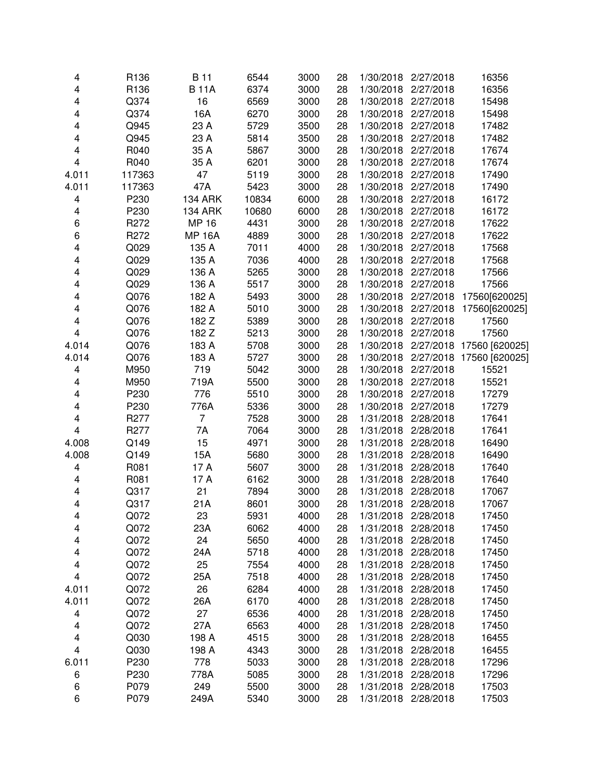| 4                       | R136             | <b>B</b> 11    | 6544  | 3000 | 28 |                     | 1/30/2018 2/27/2018 | 16356                    |
|-------------------------|------------------|----------------|-------|------|----|---------------------|---------------------|--------------------------|
| $\overline{\mathbf{4}}$ | R136             | <b>B11A</b>    | 6374  | 3000 | 28 | 1/30/2018           | 2/27/2018           | 16356                    |
| $\overline{\mathbf{4}}$ | Q374             | 16             | 6569  | 3000 | 28 | 1/30/2018           | 2/27/2018           | 15498                    |
| $\overline{\mathbf{4}}$ | Q374             | 16A            | 6270  | 3000 | 28 | 1/30/2018           | 2/27/2018           | 15498                    |
| $\overline{\mathbf{4}}$ | Q945             | 23 A           | 5729  | 3500 | 28 | 1/30/2018           | 2/27/2018           | 17482                    |
| $\overline{\mathbf{4}}$ | Q945             | 23 A           | 5814  | 3500 | 28 | 1/30/2018           | 2/27/2018           | 17482                    |
| 4                       | R040             | 35 A           | 5867  | 3000 | 28 | 1/30/2018           | 2/27/2018           | 17674                    |
| $\overline{\mathbf{4}}$ | R040             | 35 A           | 6201  | 3000 | 28 | 1/30/2018           | 2/27/2018           | 17674                    |
| 4.011                   | 117363           | 47             | 5119  | 3000 | 28 | 1/30/2018           | 2/27/2018           | 17490                    |
| 4.011                   | 117363           | 47A            | 5423  | 3000 | 28 | 1/30/2018           | 2/27/2018           | 17490                    |
| $\overline{\mathbf{4}}$ | P230             | <b>134 ARK</b> | 10834 | 6000 | 28 | 1/30/2018           | 2/27/2018           | 16172                    |
| 4                       | P230             | <b>134 ARK</b> | 10680 | 6000 | 28 | 1/30/2018           | 2/27/2018           | 16172                    |
| 6                       | R <sub>272</sub> | <b>MP 16</b>   | 4431  | 3000 | 28 |                     | 1/30/2018 2/27/2018 | 17622                    |
| 6                       | R272             | <b>MP 16A</b>  | 4889  | 3000 | 28 |                     | 1/30/2018 2/27/2018 | 17622                    |
| 4                       | Q029             | 135 A          | 7011  | 4000 | 28 |                     | 1/30/2018 2/27/2018 | 17568                    |
| 4                       | Q029             | 135 A          | 7036  | 4000 | 28 |                     | 1/30/2018 2/27/2018 | 17568                    |
| $\overline{\mathbf{4}}$ | Q029             | 136 A          | 5265  | 3000 | 28 |                     | 1/30/2018 2/27/2018 | 17566                    |
| $\overline{\mathbf{4}}$ | Q029             | 136 A          | 5517  | 3000 | 28 | 1/30/2018           | 2/27/2018           | 17566                    |
| $\overline{\mathbf{4}}$ | Q076             | 182 A          | 5493  | 3000 | 28 | 1/30/2018           | 2/27/2018           | 17560[620025]            |
| $\overline{\mathbf{4}}$ | Q076             | 182 A          | 5010  | 3000 | 28 | 1/30/2018           | 2/27/2018           | 17560[620025]            |
| $\overline{\mathbf{4}}$ | Q076             | 182 Z          | 5389  | 3000 | 28 | 1/30/2018           | 2/27/2018           | 17560                    |
| $\overline{4}$          | Q076             | 182 Z          | 5213  | 3000 | 28 | 1/30/2018           | 2/27/2018           | 17560                    |
| 4.014                   | Q076             | 183 A          | 5708  | 3000 | 28 | 1/30/2018           |                     | 2/27/2018 17560 [620025] |
| 4.014                   | Q076             | 183 A          | 5727  | 3000 | 28 | 1/30/2018           |                     | 2/27/2018 17560 [620025] |
| 4                       | M950             | 719            | 5042  | 3000 | 28 | 1/30/2018           | 2/27/2018           | 15521                    |
| 4                       | M950             | 719A           | 5500  | 3000 | 28 | 1/30/2018           | 2/27/2018           | 15521                    |
| 4                       | P230             | 776            | 5510  | 3000 | 28 | 1/30/2018           | 2/27/2018           | 17279                    |
| 4                       | P230             | 776A           | 5336  | 3000 | 28 | 1/30/2018           | 2/27/2018           | 17279                    |
| 4                       | R277             | $\overline{7}$ | 7528  | 3000 | 28 | 1/31/2018           | 2/28/2018           | 17641                    |
| $\overline{\mathbf{4}}$ | R <sub>277</sub> | 7A             | 7064  | 3000 | 28 | 1/31/2018           | 2/28/2018           | 17641                    |
| 4.008                   | Q149             | 15             | 4971  | 3000 | 28 | 1/31/2018           | 2/28/2018           | 16490                    |
| 4.008                   | Q149             | 15A            | 5680  | 3000 | 28 | 1/31/2018           | 2/28/2018           | 16490                    |
| 4                       | R081             | 17 A           | 5607  | 3000 | 28 | 1/31/2018           | 2/28/2018           | 17640                    |
| $\overline{\mathbf{4}}$ | R081             | 17 A           | 6162  | 3000 | 28 | 1/31/2018           | 2/28/2018           | 17640                    |
| $\overline{\mathbf{4}}$ | Q317             | 21             | 7894  | 3000 | 28 | 1/31/2018           | 2/28/2018           | 17067                    |
| 4                       | Q317             | 21A            | 8601  | 3000 | 28 |                     | 1/31/2018 2/28/2018 | 17067                    |
| 4                       | Q072             | 23             | 5931  | 4000 | 28 | 1/31/2018 2/28/2018 |                     | 17450                    |
| 4                       | Q072             | 23A            | 6062  | 4000 | 28 | 1/31/2018           | 2/28/2018           | 17450                    |
| 4                       | Q072             | 24             | 5650  | 4000 | 28 | 1/31/2018           | 2/28/2018           | 17450                    |
| 4                       | Q072             | 24A            | 5718  | 4000 | 28 | 1/31/2018           | 2/28/2018           | 17450                    |
| 4                       | Q072             | 25             | 7554  | 4000 | 28 | 1/31/2018           | 2/28/2018           | 17450                    |
| 4                       | Q072             | 25A            | 7518  | 4000 | 28 | 1/31/2018           | 2/28/2018           | 17450                    |
| 4.011                   | Q072             | 26             | 6284  | 4000 | 28 | 1/31/2018           | 2/28/2018           | 17450                    |
| 4.011                   | Q072             | 26A            | 6170  | 4000 | 28 | 1/31/2018           | 2/28/2018           | 17450                    |
| 4                       | Q072             | 27             | 6536  | 4000 | 28 | 1/31/2018           | 2/28/2018           | 17450                    |
| 4                       | Q072             | 27A            | 6563  | 4000 | 28 | 1/31/2018           | 2/28/2018           | 17450                    |
| 4                       | Q030             | 198 A          | 4515  | 3000 | 28 | 1/31/2018           | 2/28/2018           | 16455                    |
| 4                       | Q030             | 198 A          | 4343  | 3000 | 28 | 1/31/2018           | 2/28/2018           | 16455                    |
| 6.011                   | P230             | 778            | 5033  | 3000 | 28 | 1/31/2018           | 2/28/2018           | 17296                    |
| 6                       | P230             | 778A           | 5085  | 3000 | 28 | 1/31/2018           | 2/28/2018           | 17296                    |
| 6                       | P079             | 249            | 5500  | 3000 | 28 | 1/31/2018           | 2/28/2018           | 17503                    |
| 6                       | P079             | 249A           | 5340  | 3000 | 28 | 1/31/2018           | 2/28/2018           | 17503                    |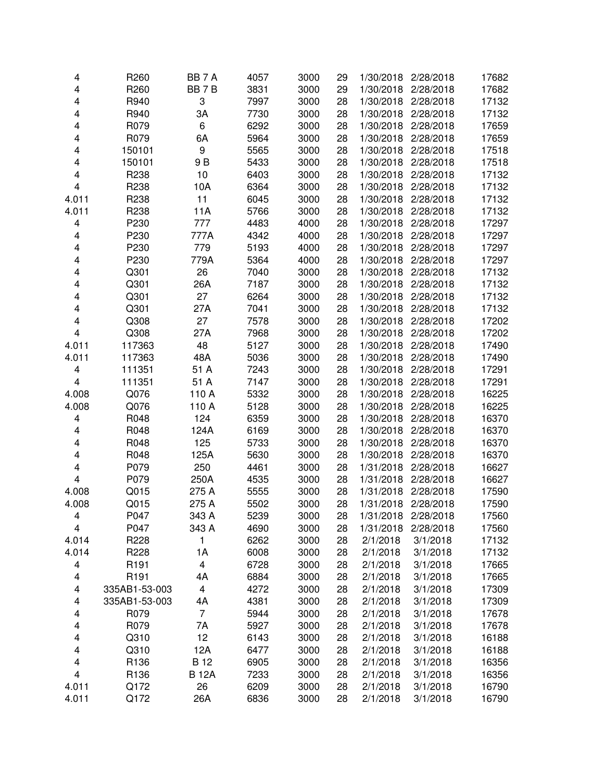| 4                       | R <sub>260</sub> | BB <sub>7</sub> A | 4057 | 3000 | 29 |           | 1/30/2018 2/28/2018 | 17682 |
|-------------------------|------------------|-------------------|------|------|----|-----------|---------------------|-------|
| 4                       | R260             | BB7B              | 3831 | 3000 | 29 | 1/30/2018 | 2/28/2018           | 17682 |
| 4                       | R940             | 3                 | 7997 | 3000 | 28 | 1/30/2018 | 2/28/2018           | 17132 |
| 4                       | R940             | ЗA                | 7730 | 3000 | 28 | 1/30/2018 | 2/28/2018           | 17132 |
| 4                       | R079             | 6                 | 6292 | 3000 | 28 | 1/30/2018 | 2/28/2018           | 17659 |
| 4                       | R079             | 6A                | 5964 | 3000 | 28 | 1/30/2018 | 2/28/2018           | 17659 |
| 4                       | 150101           | 9                 | 5565 | 3000 | 28 | 1/30/2018 | 2/28/2018           | 17518 |
|                         |                  | 9 B               | 5433 | 3000 |    | 1/30/2018 | 2/28/2018           |       |
| 4                       | 150101           |                   |      |      | 28 |           |                     | 17518 |
| 4                       | R238             | 10                | 6403 | 3000 | 28 | 1/30/2018 | 2/28/2018           | 17132 |
| 4                       | R238             | 10A               | 6364 | 3000 | 28 | 1/30/2018 | 2/28/2018           | 17132 |
| 4.011                   | R238             | 11                | 6045 | 3000 | 28 | 1/30/2018 | 2/28/2018           | 17132 |
| 4.011                   | R238             | 11A               | 5766 | 3000 | 28 | 1/30/2018 | 2/28/2018           | 17132 |
| 4                       | P230             | 777               | 4483 | 4000 | 28 | 1/30/2018 | 2/28/2018           | 17297 |
| 4                       | P230             | 777A              | 4342 | 4000 | 28 | 1/30/2018 | 2/28/2018           | 17297 |
| 4                       | P230             | 779               | 5193 | 4000 | 28 | 1/30/2018 | 2/28/2018           | 17297 |
| 4                       | P230             | 779A              | 5364 | 4000 | 28 | 1/30/2018 | 2/28/2018           | 17297 |
| 4                       | Q301             | 26                | 7040 | 3000 | 28 | 1/30/2018 | 2/28/2018           | 17132 |
| $\overline{\mathbf{4}}$ | Q301             | 26A               | 7187 | 3000 | 28 | 1/30/2018 | 2/28/2018           | 17132 |
| 4                       | Q301             | 27                | 6264 | 3000 | 28 | 1/30/2018 | 2/28/2018           | 17132 |
| 4                       | Q301             | 27A               | 7041 | 3000 | 28 | 1/30/2018 | 2/28/2018           | 17132 |
| 4                       | Q308             | 27                | 7578 | 3000 | 28 | 1/30/2018 | 2/28/2018           | 17202 |
| $\overline{\mathbf{4}}$ | Q308             | 27A               | 7968 | 3000 | 28 | 1/30/2018 | 2/28/2018           | 17202 |
| 4.011                   | 117363           | 48                | 5127 | 3000 | 28 | 1/30/2018 | 2/28/2018           | 17490 |
| 4.011                   | 117363           | 48A               | 5036 | 3000 | 28 | 1/30/2018 | 2/28/2018           | 17490 |
| 4                       | 111351           | 51 A              | 7243 | 3000 | 28 | 1/30/2018 | 2/28/2018           | 17291 |
| $\overline{\mathbf{4}}$ | 111351           | 51 A              | 7147 | 3000 | 28 | 1/30/2018 | 2/28/2018           | 17291 |
| 4.008                   | Q076             | 110 A             | 5332 | 3000 | 28 | 1/30/2018 | 2/28/2018           | 16225 |
|                         |                  |                   |      |      |    |           |                     |       |
| 4.008                   | Q076             | 110 A             | 5128 | 3000 | 28 | 1/30/2018 | 2/28/2018           | 16225 |
| 4                       | R048             | 124               | 6359 | 3000 | 28 | 1/30/2018 | 2/28/2018           | 16370 |
| 4                       | R048             | 124A              | 6169 | 3000 | 28 | 1/30/2018 | 2/28/2018           | 16370 |
| 4                       | R048             | 125               | 5733 | 3000 | 28 | 1/30/2018 | 2/28/2018           | 16370 |
| 4                       | R048             | 125A              | 5630 | 3000 | 28 | 1/30/2018 | 2/28/2018           | 16370 |
| 4                       | P079             | 250               | 4461 | 3000 | 28 | 1/31/2018 | 2/28/2018           | 16627 |
| $\overline{\mathbf{4}}$ | P079             | 250A              | 4535 | 3000 | 28 | 1/31/2018 | 2/28/2018           | 16627 |
| 4.008                   | Q015             | 275 A             | 5555 | 3000 | 28 | 1/31/2018 | 2/28/2018           | 17590 |
| 4.008                   | Q015             | 275 A             | 5502 | 3000 | 28 | 1/31/2018 | 2/28/2018           | 17590 |
| 4                       | P047             | 343 A             | 5239 | 3000 | 28 | 1/31/2018 | 2/28/2018           | 17560 |
| 4                       | P047             | 343 A             | 4690 | 3000 | 28 | 1/31/2018 | 2/28/2018           | 17560 |
| 4.014                   | R228             | 1                 | 6262 | 3000 | 28 | 2/1/2018  | 3/1/2018            | 17132 |
| 4.014                   | R228             | 1A                | 6008 | 3000 | 28 | 2/1/2018  | 3/1/2018            | 17132 |
| 4                       | R <sub>191</sub> | 4                 | 6728 | 3000 | 28 | 2/1/2018  | 3/1/2018            | 17665 |
| 4                       | R <sub>191</sub> | 4A                | 6884 | 3000 | 28 | 2/1/2018  | 3/1/2018            | 17665 |
| 4                       | 335AB1-53-003    | 4                 | 4272 | 3000 | 28 | 2/1/2018  | 3/1/2018            | 17309 |
| 4                       | 335AB1-53-003    | 4A                | 4381 | 3000 | 28 | 2/1/2018  | 3/1/2018            | 17309 |
| 4                       | R079             | $\overline{7}$    | 5944 | 3000 | 28 | 2/1/2018  | 3/1/2018            | 17678 |
| 4                       | R079             | 7A                | 5927 | 3000 | 28 | 2/1/2018  | 3/1/2018            | 17678 |
| 4                       | Q310             | 12                | 6143 | 3000 | 28 | 2/1/2018  | 3/1/2018            | 16188 |
| 4                       | Q310             | 12A               | 6477 | 3000 | 28 | 2/1/2018  | 3/1/2018            | 16188 |
| 4                       | R136             | <b>B</b> 12       | 6905 | 3000 | 28 | 2/1/2018  | 3/1/2018            | 16356 |
| $\overline{\mathbf{4}}$ |                  |                   |      |      |    |           |                     |       |
|                         | R136             | <b>B12A</b>       | 7233 | 3000 | 28 | 2/1/2018  | 3/1/2018            | 16356 |
| 4.011                   | Q172             | 26                | 6209 | 3000 | 28 | 2/1/2018  | 3/1/2018            | 16790 |
| 4.011                   | Q172             | 26A               | 6836 | 3000 | 28 | 2/1/2018  | 3/1/2018            | 16790 |